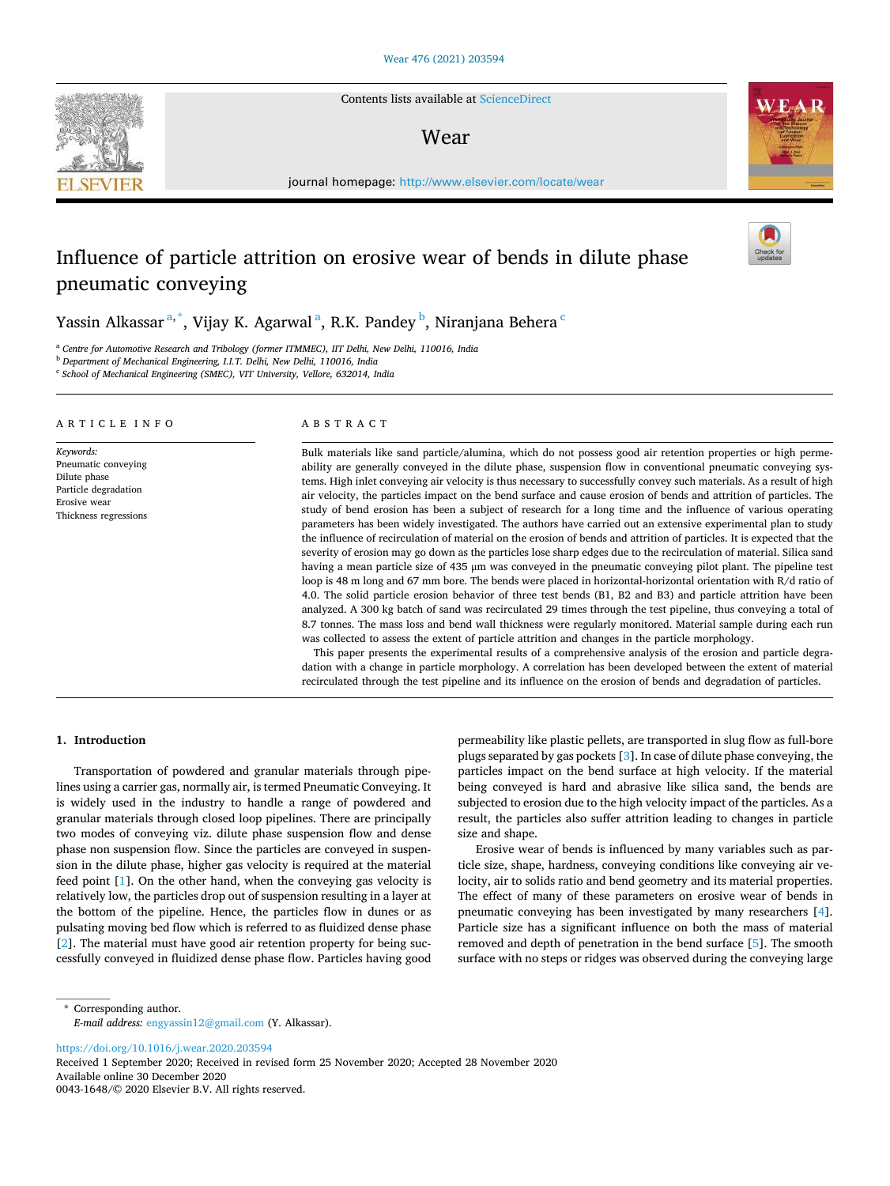Contents lists available at [ScienceDirect](www.sciencedirect.com/science/journal/00431648)

# Wear

journal homepage: [http://www.elsevier.com/locate/wear](https://http://www.elsevier.com/locate/wear)

# Influence of particle attrition on erosive wear of bends in dilute phase pneumatic conveying

Yassin Alkassar $^{\mathrm{a},\mathrm{*}},$  Vijay K. Agarwal $^{\mathrm{a}},$  R.K. Pandey $^{\mathrm{b}},$  Niranjana Behera  $^{\mathrm{c}}$ 

<sup>a</sup> *Centre for Automotive Research and Tribology (former ITMMEC), IIT Delhi, New Delhi, 110016, India* 

<sup>b</sup> *Department of Mechanical Engineering, I.I.T. Delhi, New Delhi, 110016, India*  c *School of Mechanical Engineering (SMEC), VIT University, Vellore, 632014, India* 

#### A R T I C L E I N F O

*Keywords:*  Pneumatic conveying Dilute phase Particle degradation Erosive wear Thickness regressions

## ABSTRACT

Bulk materials like sand particle/alumina, which do not possess good air retention properties or high permeability are generally conveyed in the dilute phase, suspension flow in conventional pneumatic conveying systems. High inlet conveying air velocity is thus necessary to successfully convey such materials. As a result of high air velocity, the particles impact on the bend surface and cause erosion of bends and attrition of particles. The study of bend erosion has been a subject of research for a long time and the influence of various operating parameters has been widely investigated. The authors have carried out an extensive experimental plan to study the influence of recirculation of material on the erosion of bends and attrition of particles. It is expected that the severity of erosion may go down as the particles lose sharp edges due to the recirculation of material. Silica sand having a mean particle size of 435 μm was conveyed in the pneumatic conveying pilot plant. The pipeline test loop is 48 m long and 67 mm bore. The bends were placed in horizontal-horizontal orientation with R/d ratio of 4.0. The solid particle erosion behavior of three test bends (B1, B2 and B3) and particle attrition have been analyzed. A 300 kg batch of sand was recirculated 29 times through the test pipeline, thus conveying a total of 8.7 tonnes. The mass loss and bend wall thickness were regularly monitored. Material sample during each run was collected to assess the extent of particle attrition and changes in the particle morphology.

This paper presents the experimental results of a comprehensive analysis of the erosion and particle degradation with a change in particle morphology. A correlation has been developed between the extent of material recirculated through the test pipeline and its influence on the erosion of bends and degradation of particles.

# **1. Introduction**

Transportation of powdered and granular materials through pipelines using a carrier gas, normally air, is termed Pneumatic Conveying. It is widely used in the industry to handle a range of powdered and granular materials through closed loop pipelines. There are principally two modes of conveying viz. dilute phase suspension flow and dense phase non suspension flow. Since the particles are conveyed in suspension in the dilute phase, higher gas velocity is required at the material feed point [[1](#page-7-0)]. On the other hand, when the conveying gas velocity is relatively low, the particles drop out of suspension resulting in a layer at the bottom of the pipeline. Hence, the particles flow in dunes or as pulsating moving bed flow which is referred to as fluidized dense phase [[2](#page-7-0)]. The material must have good air retention property for being successfully conveyed in fluidized dense phase flow. Particles having good permeability like plastic pellets, are transported in slug flow as full-bore plugs separated by gas pockets [\[3\]](#page-7-0). In case of dilute phase conveying, the particles impact on the bend surface at high velocity. If the material being conveyed is hard and abrasive like silica sand, the bends are subjected to erosion due to the high velocity impact of the particles. As a result, the particles also suffer attrition leading to changes in particle size and shape.

Erosive wear of bends is influenced by many variables such as particle size, shape, hardness, conveying conditions like conveying air velocity, air to solids ratio and bend geometry and its material properties. The effect of many of these parameters on erosive wear of bends in pneumatic conveying has been investigated by many researchers [[4](#page-7-0)]. Particle size has a significant influence on both the mass of material removed and depth of penetration in the bend surface [[5](#page-7-0)]. The smooth surface with no steps or ridges was observed during the conveying large

\* Corresponding author. *E-mail address:* [engyassin12@gmail.com](mailto:engyassin12@gmail.com) (Y. Alkassar).

<https://doi.org/10.1016/j.wear.2020.203594>

Available online 30 December 2020 Received 1 September 2020; Received in revised form 25 November 2020; Accepted 28 November 2020

0043-1648/© 2020 Elsevier B.V. All rights reserved.





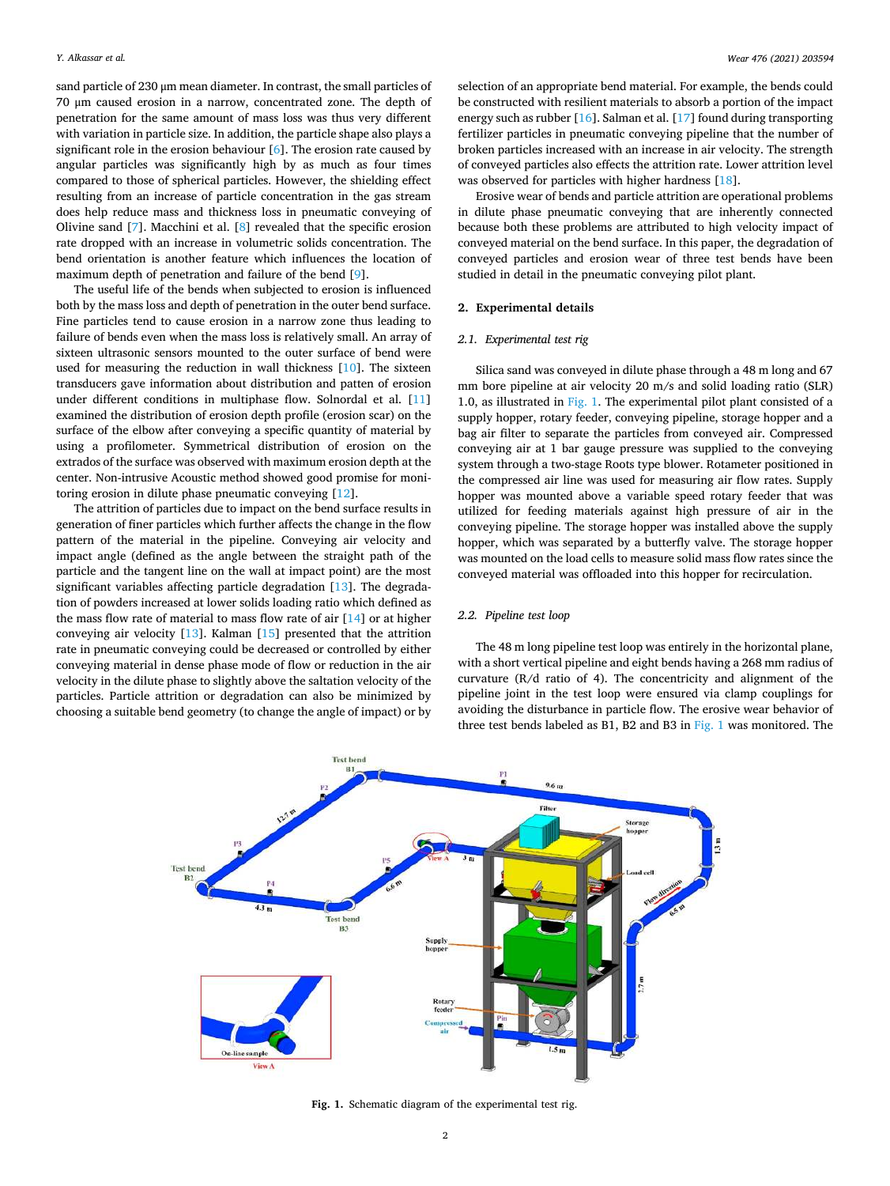sand particle of 230 μm mean diameter. In contrast, the small particles of 70 μm caused erosion in a narrow, concentrated zone. The depth of penetration for the same amount of mass loss was thus very different with variation in particle size. In addition, the particle shape also plays a significant role in the erosion behaviour [\[6\]](#page-7-0). The erosion rate caused by angular particles was significantly high by as much as four times compared to those of spherical particles. However, the shielding effect resulting from an increase of particle concentration in the gas stream does help reduce mass and thickness loss in pneumatic conveying of Olivine sand [\[7\]](#page-7-0). Macchini et al. [\[8\]](#page-7-0) revealed that the specific erosion rate dropped with an increase in volumetric solids concentration. The bend orientation is another feature which influences the location of maximum depth of penetration and failure of the bend [\[9\]](#page-7-0).

The useful life of the bends when subjected to erosion is influenced both by the mass loss and depth of penetration in the outer bend surface. Fine particles tend to cause erosion in a narrow zone thus leading to failure of bends even when the mass loss is relatively small. An array of sixteen ultrasonic sensors mounted to the outer surface of bend were used for measuring the reduction in wall thickness [[10\]](#page-7-0). The sixteen transducers gave information about distribution and patten of erosion under different conditions in multiphase flow. Solnordal et al. [\[11](#page-8-0)] examined the distribution of erosion depth profile (erosion scar) on the surface of the elbow after conveying a specific quantity of material by using a profilometer. Symmetrical distribution of erosion on the extrados of the surface was observed with maximum erosion depth at the center. Non-intrusive Acoustic method showed good promise for monitoring erosion in dilute phase pneumatic conveying [\[12](#page-8-0)].

The attrition of particles due to impact on the bend surface results in generation of finer particles which further affects the change in the flow pattern of the material in the pipeline. Conveying air velocity and impact angle (defined as the angle between the straight path of the particle and the tangent line on the wall at impact point) are the most significant variables affecting particle degradation [\[13\]](#page-8-0). The degradation of powders increased at lower solids loading ratio which defined as the mass flow rate of material to mass flow rate of air [\[14](#page-8-0)] or at higher conveying air velocity [\[13\]](#page-8-0). Kalman [\[15](#page-8-0)] presented that the attrition rate in pneumatic conveying could be decreased or controlled by either conveying material in dense phase mode of flow or reduction in the air velocity in the dilute phase to slightly above the saltation velocity of the particles. Particle attrition or degradation can also be minimized by choosing a suitable bend geometry (to change the angle of impact) or by

selection of an appropriate bend material. For example, the bends could be constructed with resilient materials to absorb a portion of the impact energy such as rubber [\[16](#page-8-0)]. Salman et al. [\[17](#page-8-0)] found during transporting fertilizer particles in pneumatic conveying pipeline that the number of broken particles increased with an increase in air velocity. The strength of conveyed particles also effects the attrition rate. Lower attrition level was observed for particles with higher hardness [\[18](#page-8-0)].

Erosive wear of bends and particle attrition are operational problems in dilute phase pneumatic conveying that are inherently connected because both these problems are attributed to high velocity impact of conveyed material on the bend surface. In this paper, the degradation of conveyed particles and erosion wear of three test bends have been studied in detail in the pneumatic conveying pilot plant.

#### **2. Experimental details**

#### *2.1. Experimental test rig*

Silica sand was conveyed in dilute phase through a 48 m long and 67 mm bore pipeline at air velocity 20 m/s and solid loading ratio (SLR) 1.0, as illustrated in Fig. 1. The experimental pilot plant consisted of a supply hopper, rotary feeder, conveying pipeline, storage hopper and a bag air filter to separate the particles from conveyed air. Compressed conveying air at 1 bar gauge pressure was supplied to the conveying system through a two-stage Roots type blower. Rotameter positioned in the compressed air line was used for measuring air flow rates. Supply hopper was mounted above a variable speed rotary feeder that was utilized for feeding materials against high pressure of air in the conveying pipeline. The storage hopper was installed above the supply hopper, which was separated by a butterfly valve. The storage hopper was mounted on the load cells to measure solid mass flow rates since the conveyed material was offloaded into this hopper for recirculation.

#### *2.2. Pipeline test loop*

The 48 m long pipeline test loop was entirely in the horizontal plane, with a short vertical pipeline and eight bends having a 268 mm radius of curvature (R/d ratio of 4). The concentricity and alignment of the pipeline joint in the test loop were ensured via clamp couplings for avoiding the disturbance in particle flow. The erosive wear behavior of three test bends labeled as B1, B2 and B3 in Fig. 1 was monitored. The



**Fig. 1.** Schematic diagram of the experimental test rig.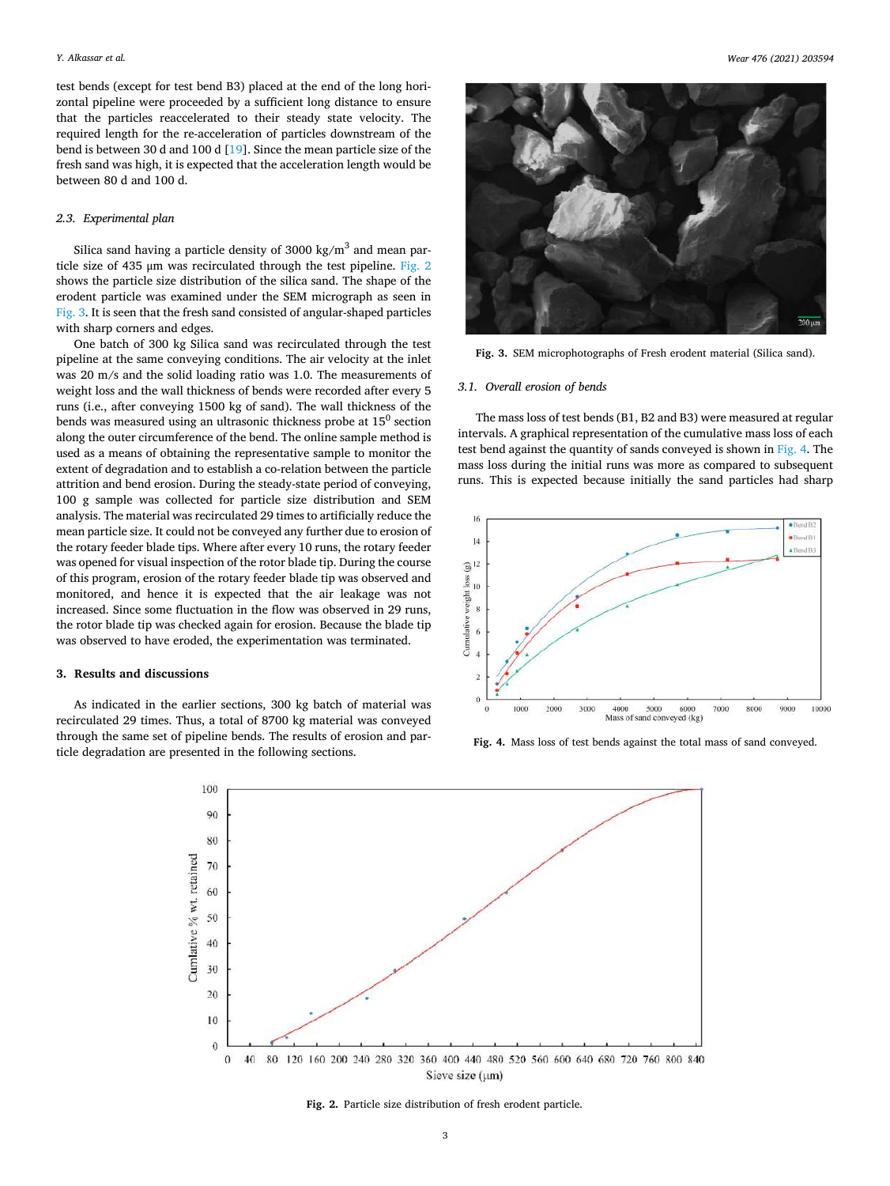<span id="page-2-0"></span>test bends (except for test bend B3) placed at the end of the long horizontal pipeline were proceeded by a sufficient long distance to ensure that the particles reaccelerated to their steady state velocity. The required length for the re-acceleration of particles downstream of the bend is between 30 d and 100 d [\[19](#page-8-0)]. Since the mean particle size of the fresh sand was high, it is expected that the acceleration length would be between 80 d and 100 d.

### *2.3. Experimental plan*

Silica sand having a particle density of 3000 kg/ $m<sup>3</sup>$  and mean particle size of 435 μm was recirculated through the test pipeline. Fig. 2 shows the particle size distribution of the silica sand. The shape of the erodent particle was examined under the SEM micrograph as seen in Fig. 3. It is seen that the fresh sand consisted of angular-shaped particles with sharp corners and edges.

One batch of 300 kg Silica sand was recirculated through the test pipeline at the same conveying conditions. The air velocity at the inlet was 20 m/s and the solid loading ratio was 1.0. The measurements of weight loss and the wall thickness of bends were recorded after every 5 runs (i.e., after conveying 1500 kg of sand). The wall thickness of the bends was measured using an ultrasonic thickness probe at  $15<sup>0</sup>$  section along the outer circumference of the bend. The online sample method is used as a means of obtaining the representative sample to monitor the extent of degradation and to establish a co-relation between the particle attrition and bend erosion. During the steady-state period of conveying, 100 g sample was collected for particle size distribution and SEM analysis. The material was recirculated 29 times to artificially reduce the mean particle size. It could not be conveyed any further due to erosion of the rotary feeder blade tips. Where after every 10 runs, the rotary feeder was opened for visual inspection of the rotor blade tip. During the course of this program, erosion of the rotary feeder blade tip was observed and monitored, and hence it is expected that the air leakage was not increased. Since some fluctuation in the flow was observed in 29 runs, the rotor blade tip was checked again for erosion. Because the blade tip was observed to have eroded, the experimentation was terminated.

# **3. Results and discussions**

As indicated in the earlier sections, 300 kg batch of material was recirculated 29 times. Thus, a total of 8700 kg material was conveyed through the same set of pipeline bends. The results of erosion and particle degradation are presented in the following sections.



**Fig. 3.** SEM microphotographs of Fresh erodent material (Silica sand).

#### *3.1. Overall erosion of bends*

The mass loss of test bends (B1, B2 and B3) were measured at regular intervals. A graphical representation of the cumulative mass loss of each test bend against the quantity of sands conveyed is shown in Fig. 4. The mass loss during the initial runs was more as compared to subsequent runs. This is expected because initially the sand particles had sharp



**Fig. 4.** Mass loss of test bends against the total mass of sand conveyed.



**Fig. 2.** Particle size distribution of fresh erodent particle.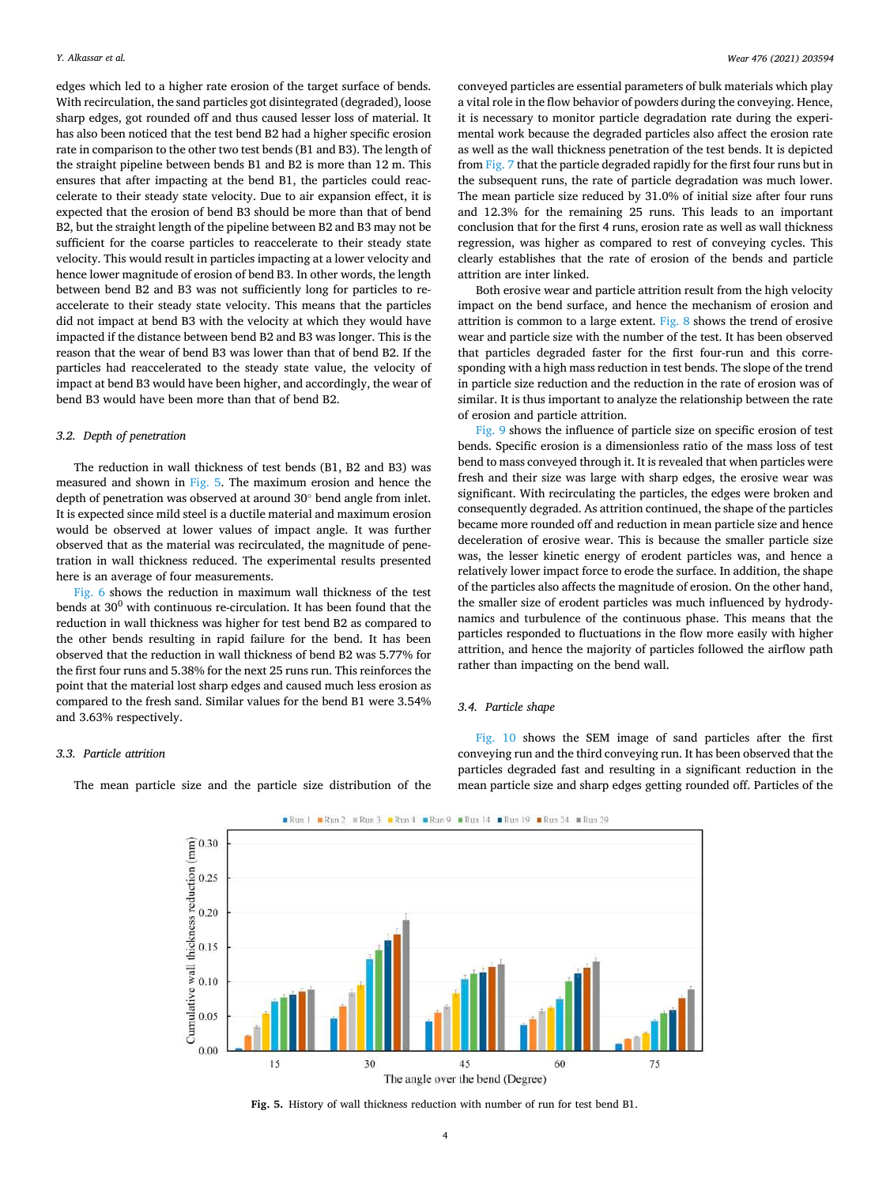edges which led to a higher rate erosion of the target surface of bends. With recirculation, the sand particles got disintegrated (degraded), loose sharp edges, got rounded off and thus caused lesser loss of material. It has also been noticed that the test bend B2 had a higher specific erosion rate in comparison to the other two test bends (B1 and B3). The length of the straight pipeline between bends B1 and B2 is more than 12 m. This ensures that after impacting at the bend B1, the particles could reaccelerate to their steady state velocity. Due to air expansion effect, it is expected that the erosion of bend B3 should be more than that of bend B2, but the straight length of the pipeline between B2 and B3 may not be sufficient for the coarse particles to reaccelerate to their steady state velocity. This would result in particles impacting at a lower velocity and hence lower magnitude of erosion of bend B3. In other words, the length between bend B2 and B3 was not sufficiently long for particles to reaccelerate to their steady state velocity. This means that the particles did not impact at bend B3 with the velocity at which they would have impacted if the distance between bend B2 and B3 was longer. This is the reason that the wear of bend B3 was lower than that of bend B2. If the particles had reaccelerated to the steady state value, the velocity of impact at bend B3 would have been higher, and accordingly, the wear of bend B3 would have been more than that of bend B2.

#### *3.2. Depth of penetration*

The reduction in wall thickness of test bends (B1, B2 and B3) was measured and shown in Fig. 5. The maximum erosion and hence the depth of penetration was observed at around 30◦ bend angle from inlet. It is expected since mild steel is a ductile material and maximum erosion would be observed at lower values of impact angle. It was further observed that as the material was recirculated, the magnitude of penetration in wall thickness reduced. The experimental results presented here is an average of four measurements.

[Fig. 6](#page-4-0) shows the reduction in maximum wall thickness of the test bends at  $30^0$  with continuous re-circulation. It has been found that the reduction in wall thickness was higher for test bend B2 as compared to the other bends resulting in rapid failure for the bend. It has been observed that the reduction in wall thickness of bend B2 was 5.77% for the first four runs and 5.38% for the next 25 runs run. This reinforces the point that the material lost sharp edges and caused much less erosion as compared to the fresh sand. Similar values for the bend B1 were 3.54% and 3.63% respectively.

conveyed particles are essential parameters of bulk materials which play a vital role in the flow behavior of powders during the conveying. Hence, it is necessary to monitor particle degradation rate during the experimental work because the degraded particles also affect the erosion rate as well as the wall thickness penetration of the test bends. It is depicted from [Fig. 7](#page-4-0) that the particle degraded rapidly for the first four runs but in the subsequent runs, the rate of particle degradation was much lower. The mean particle size reduced by 31.0% of initial size after four runs and 12.3% for the remaining 25 runs. This leads to an important conclusion that for the first 4 runs, erosion rate as well as wall thickness regression, was higher as compared to rest of conveying cycles. This clearly establishes that the rate of erosion of the bends and particle attrition are inter linked.

Both erosive wear and particle attrition result from the high velocity impact on the bend surface, and hence the mechanism of erosion and attrition is common to a large extent. [Fig. 8](#page-4-0) shows the trend of erosive wear and particle size with the number of the test. It has been observed that particles degraded faster for the first four-run and this corresponding with a high mass reduction in test bends. The slope of the trend in particle size reduction and the reduction in the rate of erosion was of similar. It is thus important to analyze the relationship between the rate of erosion and particle attrition.

[Fig. 9](#page-5-0) shows the influence of particle size on specific erosion of test bends. Specific erosion is a dimensionless ratio of the mass loss of test bend to mass conveyed through it. It is revealed that when particles were fresh and their size was large with sharp edges, the erosive wear was significant. With recirculating the particles, the edges were broken and consequently degraded. As attrition continued, the shape of the particles became more rounded off and reduction in mean particle size and hence deceleration of erosive wear. This is because the smaller particle size was, the lesser kinetic energy of erodent particles was, and hence a relatively lower impact force to erode the surface. In addition, the shape of the particles also affects the magnitude of erosion. On the other hand, the smaller size of erodent particles was much influenced by hydrodynamics and turbulence of the continuous phase. This means that the particles responded to fluctuations in the flow more easily with higher attrition, and hence the majority of particles followed the airflow path rather than impacting on the bend wall.

#### *3.4. Particle shape*

*3.3. Particle attrition* 

The mean particle size and the particle size distribution of the

[Fig. 10](#page-5-0) shows the SEM image of sand particles after the first conveying run and the third conveying run. It has been observed that the particles degraded fast and resulting in a significant reduction in the mean particle size and sharp edges getting rounded off. Particles of the



**Fig. 5.** History of wall thickness reduction with number of run for test bend B1.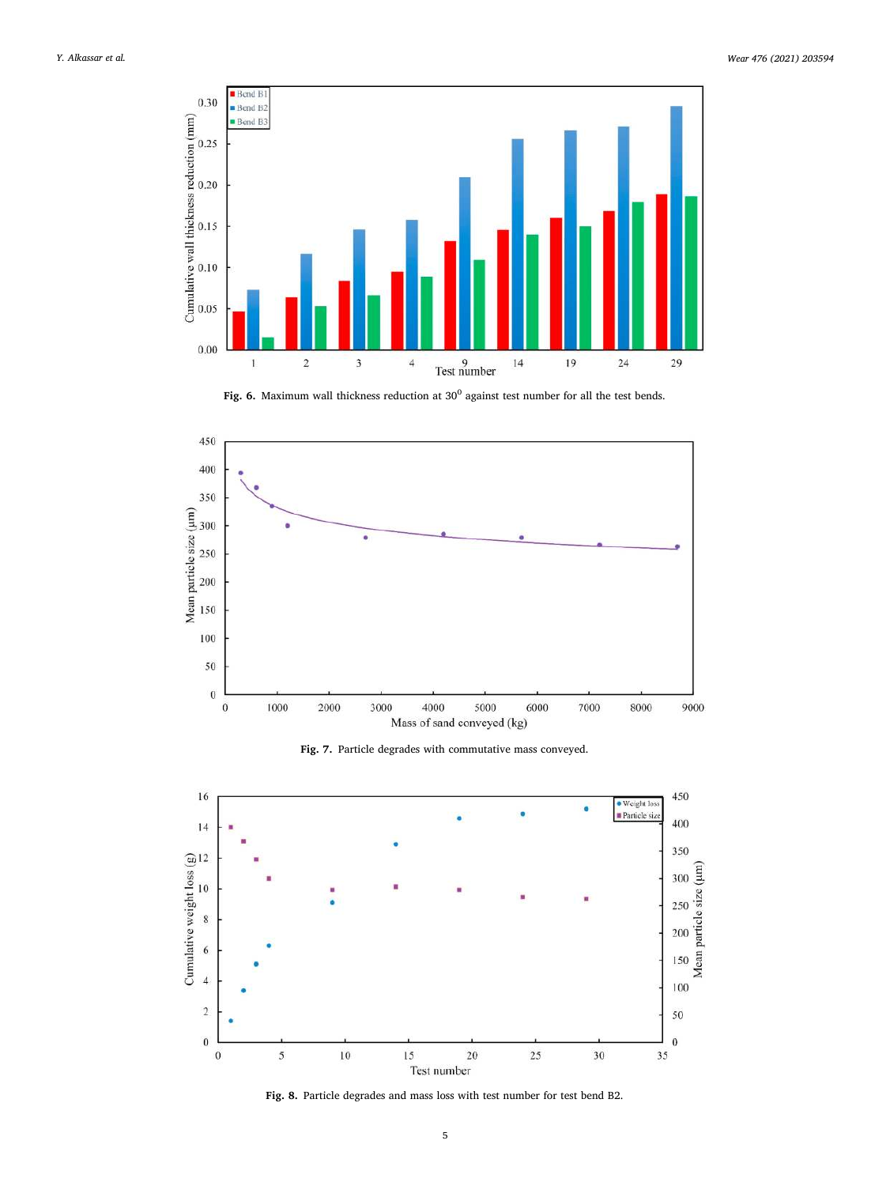<span id="page-4-0"></span>

Fig. 6. Maximum wall thickness reduction at 30<sup>0</sup> against test number for all the test bends.



**Fig. 7.** Particle degrades with commutative mass conveyed.



**Fig. 8.** Particle degrades and mass loss with test number for test bend B2.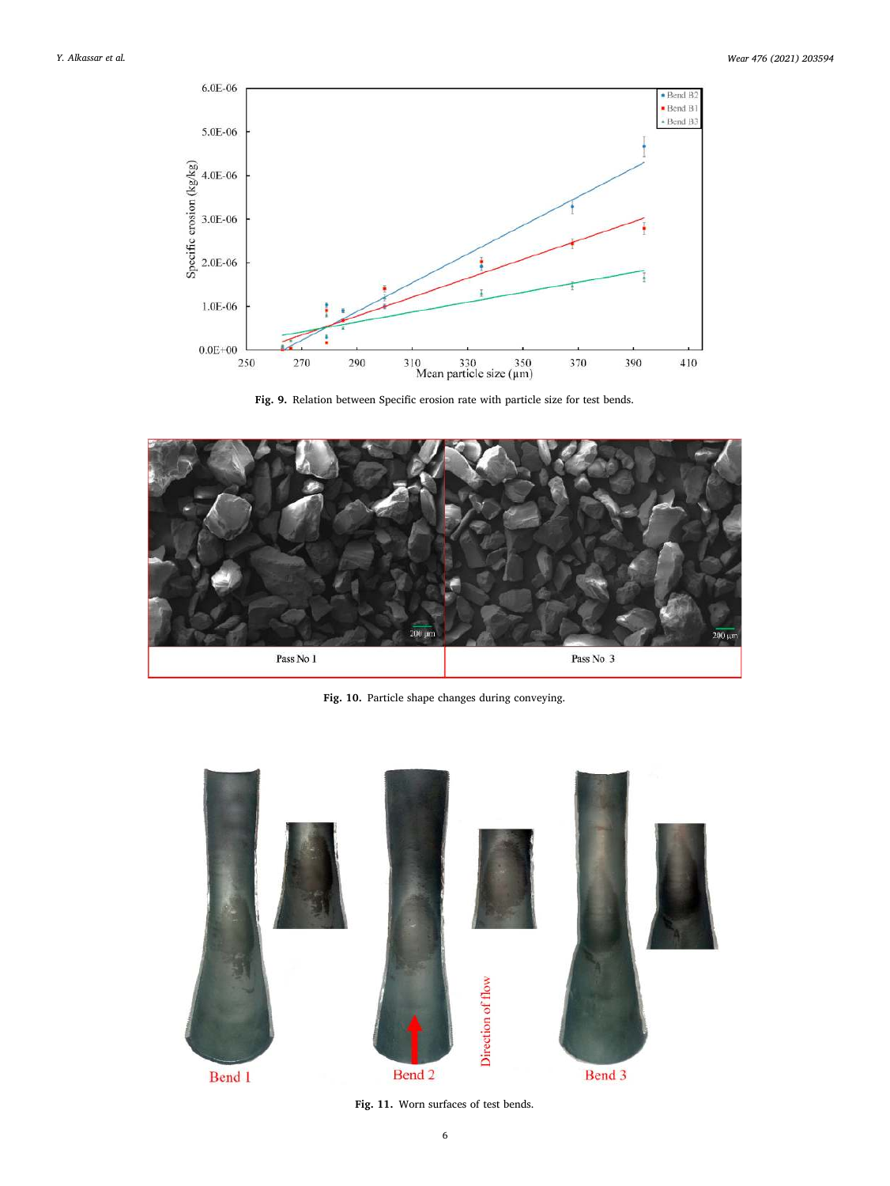<span id="page-5-0"></span>

**Fig. 9.** Relation between Specific erosion rate with particle size for test bends.



**Fig. 10.** Particle shape changes during conveying.



**Fig. 11.** Worn surfaces of test bends.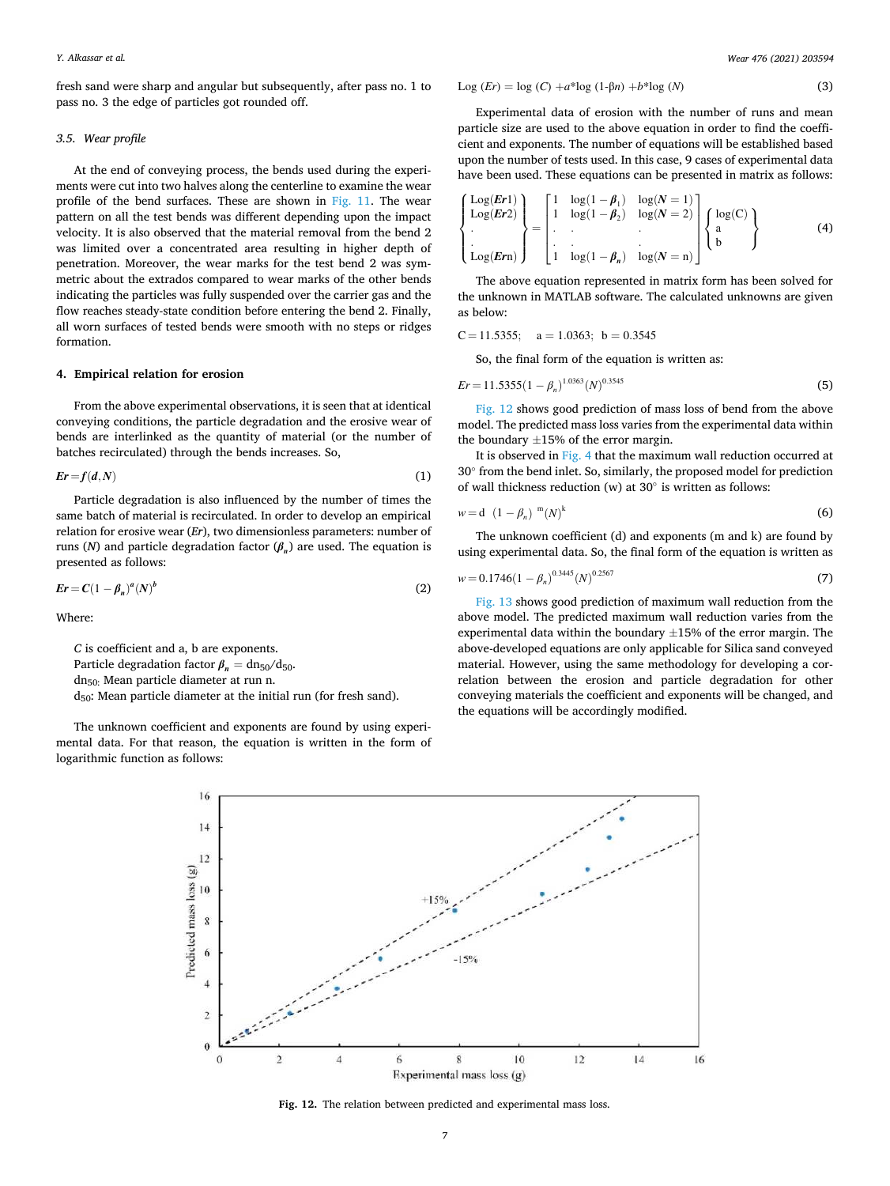fresh sand were sharp and angular but subsequently, after pass no. 1 to pass no. 3 the edge of particles got rounded off.

#### *3.5. Wear profile*

At the end of conveying process, the bends used during the experiments were cut into two halves along the centerline to examine the wear profile of the bend surfaces. These are shown in [Fig. 11](#page-5-0). The wear pattern on all the test bends was different depending upon the impact velocity. It is also observed that the material removal from the bend 2 was limited over a concentrated area resulting in higher depth of penetration. Moreover, the wear marks for the test bend 2 was symmetric about the extrados compared to wear marks of the other bends indicating the particles was fully suspended over the carrier gas and the flow reaches steady-state condition before entering the bend 2. Finally, all worn surfaces of tested bends were smooth with no steps or ridges formation.

#### **4. Empirical relation for erosion**

From the above experimental observations, it is seen that at identical conveying conditions, the particle degradation and the erosive wear of bends are interlinked as the quantity of material (or the number of batches recirculated) through the bends increases. So,

$$
Er = f(d, N) \tag{1}
$$

Particle degradation is also influenced by the number of times the same batch of material is recirculated. In order to develop an empirical relation for erosive wear (*Er*), two dimensionless parameters: number of runs (*N*) and particle degradation factor (*β<sup>n</sup>* ) are used. The equation is presented as follows:

$$
Er = C\left(1 - \beta_n\right)^a \left(N\right)^b \tag{2}
$$

Where:

*C* is coefficient and a, b are exponents. Particle degradation factor  $\beta_n = \frac{dn_{50}}{d_{50}}$ . dn50: Mean particle diameter at run n. d50: Mean particle diameter at the initial run (for fresh sand).

The unknown coefficient and exponents are found by using experimental data. For that reason, the equation is written in the form of logarithmic function as follows:

$$
Log (Er) = log (C) + a*log (1-\beta n) + b*log (N)
$$
\n(3)

Experimental data of erosion with the number of runs and mean particle size are used to the above equation in order to find the coefficient and exponents. The number of equations will be established based upon the number of tests used. In this case, 9 cases of experimental data have been used. These equations can be presented in matrix as follows:

$$
\begin{Bmatrix}\n\text{Log}(Er1) \\
\text{Log}(Er2) \\
\text{Log}(Ern)\n\end{Bmatrix} = \begin{bmatrix}\n1 & \log(1 - \beta_1) & \log(N = 1) \\
1 & \log(1 - \beta_2) & \log(N = 2) \\
\vdots & \vdots & \ddots & \vdots \\
1 & \log(1 - \beta_n) & \log(N = n)\n\end{bmatrix} \begin{Bmatrix}\n\log(C) \\
a \\
b\n\end{Bmatrix}
$$
\n(4)

The above equation represented in matrix form has been solved for the unknown in MATLAB software. The calculated unknowns are given as below:

$$
C = 11.5355; \quad a = 1.0363; \ b = 0.3545
$$

So, the final form of the equation is written as:

$$
Er = 11.5355(1 - \beta_n)^{1.0363}(N)^{0.3545}
$$
 (5)

Fig. 12 shows good prediction of mass loss of bend from the above model. The predicted mass loss varies from the experimental data within the boundary  $\pm 15\%$  of the error margin.

It is observed in [Fig. 4](#page-2-0) that the maximum wall reduction occurred at 30◦ from the bend inlet. So, similarly, the proposed model for prediction of wall thickness reduction (w) at  $30^\circ$  is written as follows:

$$
w = d \left(1 - \beta_n\right)^{m} (N)^{k} \tag{6}
$$

The unknown coefficient (d) and exponents (m and k) are found by using experimental data. So, the final form of the equation is written as

$$
w = 0.1746(1 - \beta_n)^{0.3445} (N)^{0.2567}
$$
 (7)

[Fig. 13](#page-7-0) shows good prediction of maximum wall reduction from the above model. The predicted maximum wall reduction varies from the experimental data within the boundary  $\pm 15$ % of the error margin. The above-developed equations are only applicable for Silica sand conveyed material. However, using the same methodology for developing a correlation between the erosion and particle degradation for other conveying materials the coefficient and exponents will be changed, and the equations will be accordingly modified.



**Fig. 12.** The relation between predicted and experimental mass loss.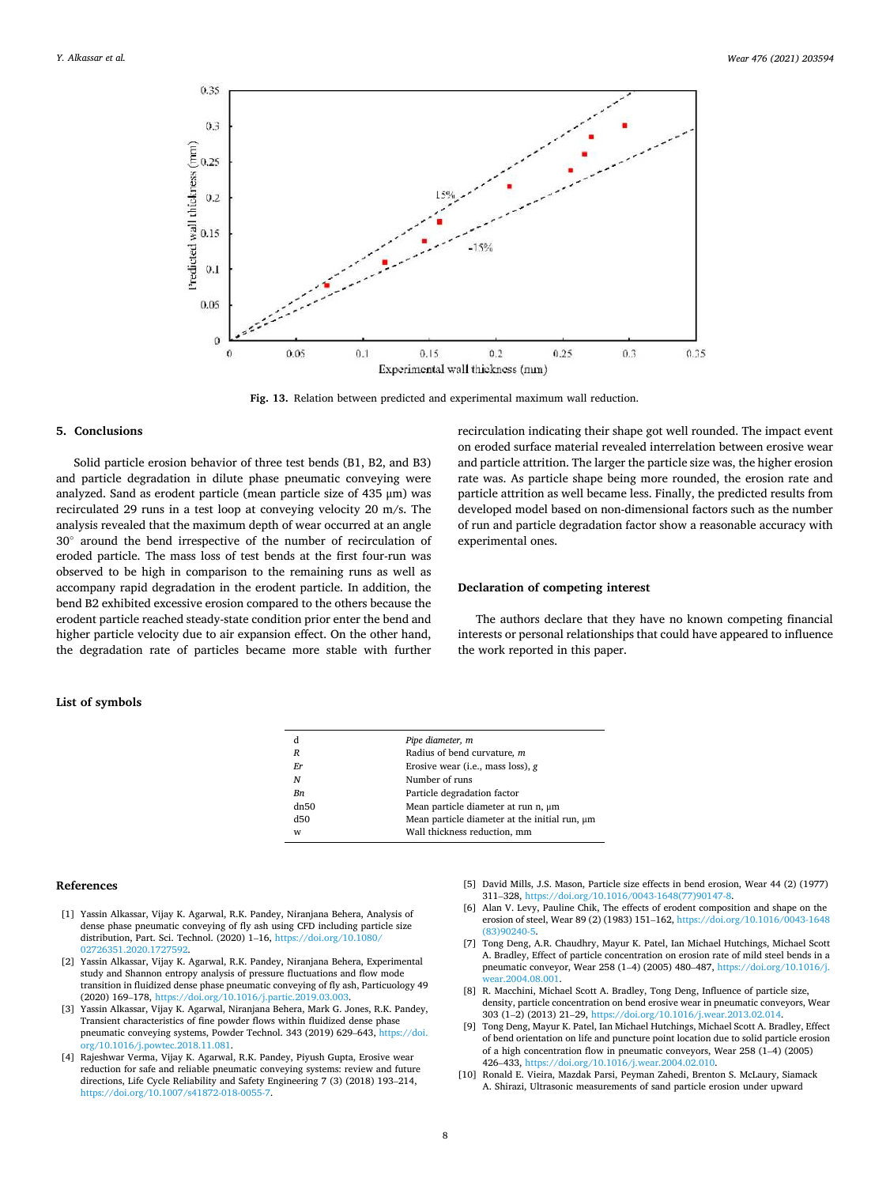<span id="page-7-0"></span>

**Fig. 13.** Relation between predicted and experimental maximum wall reduction.

#### **5. Conclusions**

Solid particle erosion behavior of three test bends (B1, B2, and B3) and particle degradation in dilute phase pneumatic conveying were analyzed. Sand as erodent particle (mean particle size of 435 μm) was recirculated 29 runs in a test loop at conveying velocity 20 m/s. The analysis revealed that the maximum depth of wear occurred at an angle 30◦ around the bend irrespective of the number of recirculation of eroded particle. The mass loss of test bends at the first four-run was observed to be high in comparison to the remaining runs as well as accompany rapid degradation in the erodent particle. In addition, the bend B2 exhibited excessive erosion compared to the others because the erodent particle reached steady-state condition prior enter the bend and higher particle velocity due to air expansion effect. On the other hand, the degradation rate of particles became more stable with further

recirculation indicating their shape got well rounded. The impact event on eroded surface material revealed interrelation between erosive wear and particle attrition. The larger the particle size was, the higher erosion rate was. As particle shape being more rounded, the erosion rate and particle attrition as well became less. Finally, the predicted results from developed model based on non-dimensional factors such as the number of run and particle degradation factor show a reasonable accuracy with experimental ones.

# **Declaration of competing interest**

The authors declare that they have no known competing financial interests or personal relationships that could have appeared to influence the work reported in this paper.

| d                | Pipe diameter, m                              |
|------------------|-----------------------------------------------|
| $\boldsymbol{R}$ | Radius of bend curvature, m                   |
| <b>Fr</b>        | Erosive wear (i.e., mass loss), $g$           |
| N                | Number of runs                                |
| Bn               | Particle degradation factor                   |
| dn50             | Mean particle diameter at run n, um           |
| d50              | Mean particle diameter at the initial run, um |
| W                | Wall thickness reduction, mm                  |

#### **References**

**List of symbols** 

- [1] Yassin Alkassar, Vijay K. Agarwal, R.K. Pandey, Niranjana Behera, Analysis of dense phase pneumatic conveying of fly ash using CFD including particle size distribution, Part. Sci. Technol. (2020) 1–16, [https://doi.org/10.1080/](https://doi.org/10.1080/02726351.2020.1727592)  [02726351.2020.1727592.](https://doi.org/10.1080/02726351.2020.1727592)
- [2] Yassin Alkassar, Vijay K. Agarwal, R.K. Pandey, Niranjana Behera, Experimental study and Shannon entropy analysis of pressure fluctuations and flow mode transition in fluidized dense phase pneumatic conveying of fly ash, Particuology 49 (2020) 169–178, <https://doi.org/10.1016/j.partic.2019.03.003>.
- [3] Yassin Alkassar, Vijay K. Agarwal, Niranjana Behera, Mark G. Jones, R.K. Pandey, Transient characteristics of fine powder flows within fluidized dense phase pneumatic conveying systems, Powder Technol. 343 (2019) 629–643, [https://doi.](https://doi.org/10.1016/j.powtec.2018.11.081)  [org/10.1016/j.powtec.2018.11.081](https://doi.org/10.1016/j.powtec.2018.11.081).
- [4] Rajeshwar Verma, Vijay K. Agarwal, R.K. Pandey, Piyush Gupta, Erosive wear reduction for safe and reliable pneumatic conveying systems: review and future directions, Life Cycle Reliability and Safety Engineering 7 (3) (2018) 193–214, <https://doi.org/10.1007/s41872-018-0055-7>.
- [5] David Mills, J.S. Mason, Particle size effects in bend erosion, Wear 44 (2) (1977) 311–328, [https://doi.org/10.1016/0043-1648\(77\)90147-8.](https://doi.org/10.1016/0043-1648(77)90147-8)
- [6] Alan V. Levy, Pauline Chik, The effects of erodent composition and shape on the erosion of steel, Wear 89 (2) (1983) 151–162, [https://doi.org/10.1016/0043-1648](https://doi.org/10.1016/0043-1648(83)90240-5)  [\(83\)90240-5.](https://doi.org/10.1016/0043-1648(83)90240-5)
- [7] Tong Deng, A.R. Chaudhry, Mayur K. Patel, Ian Michael Hutchings, Michael Scott A. Bradley, Effect of particle concentration on erosion rate of mild steel bends in a pneumatic conveyor, Wear 258 (1–4) (2005) 480–487, [https://doi.org/10.1016/j.](https://doi.org/10.1016/j.wear.2004.08.001)  ar.2004.08.001
- [8] R. Macchini, Michael Scott A. Bradley, Tong Deng, Influence of particle size, density, particle concentration on bend erosive wear in pneumatic conveyors, Wear 303 (1–2) (2013) 21–29, [https://doi.org/10.1016/j.wear.2013.02.014.](https://doi.org/10.1016/j.wear.2013.02.014)
- [9] Tong Deng, Mayur K. Patel, Ian Michael Hutchings, Michael Scott A. Bradley, Effect of bend orientation on life and puncture point location due to solid particle erosion of a high concentration flow in pneumatic conveyors, Wear 258 (1–4) (2005) 426–433, [https://doi.org/10.1016/j.wear.2004.02.010.](https://doi.org/10.1016/j.wear.2004.02.010)
- [10] Ronald E. Vieira, Mazdak Parsi, Peyman Zahedi, Brenton S. McLaury, Siamack A. Shirazi, Ultrasonic measurements of sand particle erosion under upward